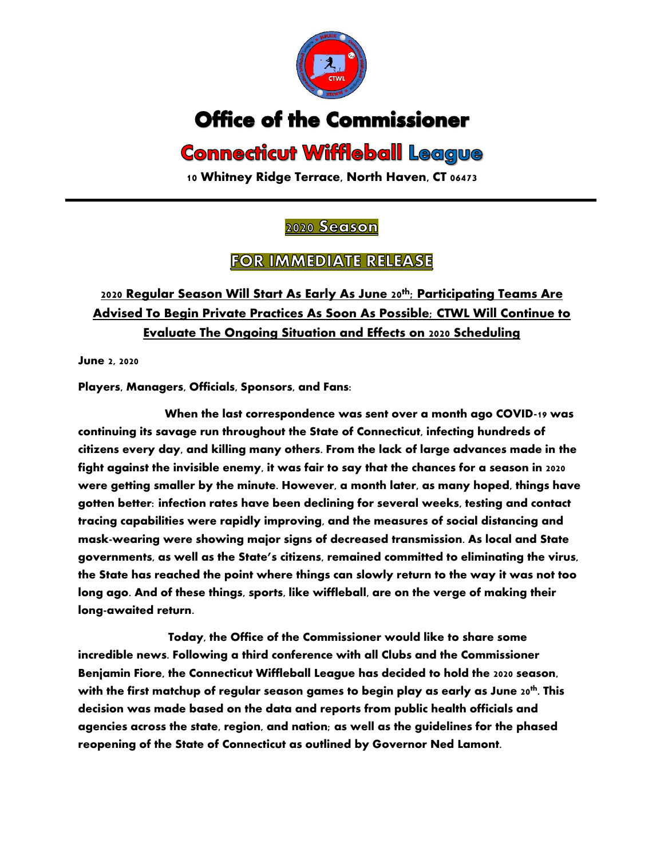

# **Office of the Commissioner**

# **Connecticut Wiffleball League**

**10 Whitney Ridge Terrace, North Haven, CT 06473**

#### 2020 Season

### **FOR IMMEDIATE RELEASE**

## **2020 Regular Season Will Start As Early As June 20th; Participating Teams Are Advised To Begin Private Practices As Soon As Possible; CTWL Will Continue to Evaluate The Ongoing Situation and Effects on 2020 Scheduling**

**June 2, 2020**

**Players, Managers, Officials, Sponsors, and Fans:**

**When the last correspondence was sent over a month ago COVID-19 was continuing its savage run throughout the State of Connecticut, infecting hundreds of citizens every day, and killing many others. From the lack of large advances made in the fight against the invisible enemy, it was fair to say that the chances for a season in 2020 were getting smaller by the minute. However, a month later, as many hoped, things have gotten better: infection rates have been declining for several weeks, testing and contact tracing capabilities were rapidly improving, and the measures of social distancing and mask-wearing were showing major signs of decreased transmission. As local and State governments, as well as the State's citizens, remained committed to eliminating the virus, the State has reached the point where things can slowly return to the way it was not too long ago. And of these things, sports, like wiffleball, are on the verge of making their long-awaited return.**

**Today, the Office of the Commissioner would like to share some incredible news. Following a third conference with all Clubs and the Commissioner Benjamin Fiore, the Connecticut Wiffleball League has decided to hold the 2020 season, with the first matchup of regular season games to begin play as early as June 20th . This decision was made based on the data and reports from public health officials and agencies across the state, region, and nation; as well as the guidelines for the phased reopening of the State of Connecticut as outlined by Governor Ned Lamont.**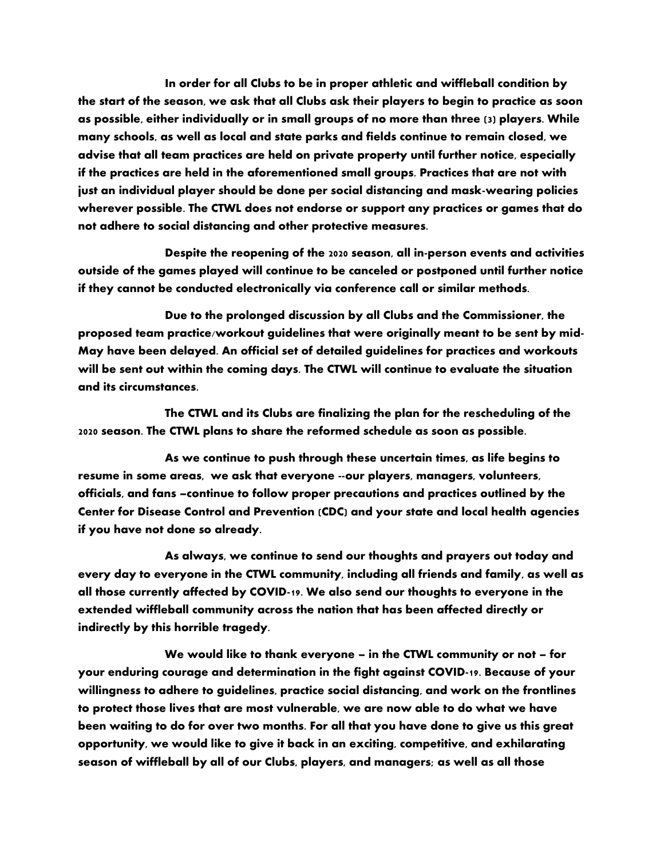**In order for all Clubs to be in proper athletic and wiffleball condition by the start of the season, we ask that all Clubs ask their players to begin to practice as soon as possible, either individually or in small groups of no more than three (3) players. While many schools, as well as local and state parks and fields continue to remain closed, we advise that all team practices are held on private property until further notice, especially if the practices are held in the aforementioned small groups. Practices that are not with just an individual player should be done per social distancing and mask-wearing policies wherever possible. The CTWL does not endorse or support any practices or games that do not adhere to social distancing and other protective measures.** 

**Despite the reopening of the 2020 season, all in-person events and activities outside of the games played will continue to be canceled or postponed until further notice if they cannot be conducted electronically via conference call or similar methods.** 

**Due to the prolonged discussion by all Clubs and the Commissioner, the proposed team practice/workout guidelines that were originally meant to be sent by mid-May have been delayed. An official set of detailed guidelines for practices and workouts will be sent out within the coming days. The CTWL will continue to evaluate the situation and its circumstances.**

**The CTWL and its Clubs are finalizing the plan for the rescheduling of the 2020 season. The CTWL plans to share the reformed schedule as soon as possible.**

**As we continue to push through these uncertain times, as life begins to resume in some areas, we ask that everyone --our players, managers, volunteers, officials, and fans –continue to follow proper precautions and practices outlined by the Center for Disease Control and Prevention (CDC) and your state and local health agencies if you have not done so already.**

**As always, we continue to send our thoughts and prayers out today and every day to everyone in the CTWL community, including all friends and family, as well as all those currently affected by COVID-19. We also send our thoughts to everyone in the extended wiffleball community across the nation that has been affected directly or indirectly by this horrible tragedy.**

**We would like to thank everyone – in the CTWL community or not – for your enduring courage and determination in the fight against COVID-19. Because of your willingness to adhere to guidelines, practice social distancing, and work on the frontlines to protect those lives that are most vulnerable, we are now able to do what we have been waiting to do for over two months. For all that you have done to give us this great opportunity, we would like to give it back in an exciting, competitive, and exhilarating season of wiffleball by all of our Clubs, players, and managers; as well as all those**